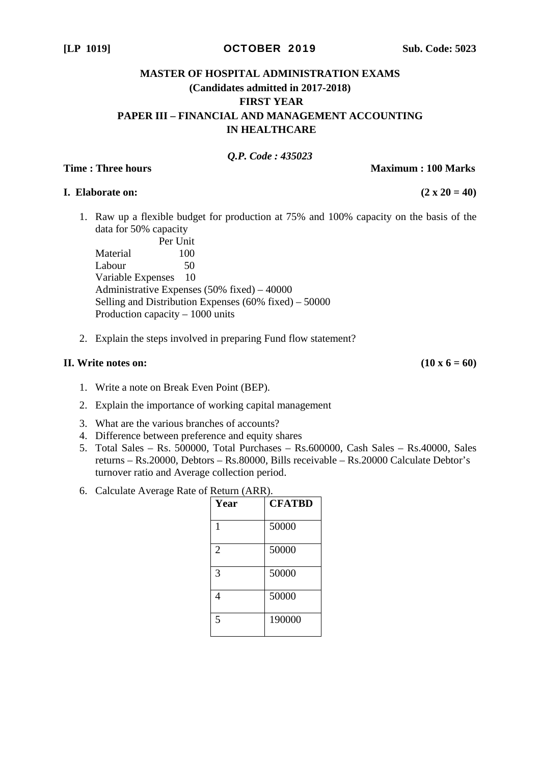#### **[LP 1019]** OCTOBER 2019 **Sub. Code: 5023**

# **MASTER OF HOSPITAL ADMINISTRATION EXAMS (Candidates admitted in 2017-2018) FIRST YEAR PAPER III – FINANCIAL AND MANAGEMENT ACCOUNTING IN HEALTHCARE**

## *Q.P. Code : 435023*

**Time : Three hours and Community Community Community Community Community Community Community Community Community Community Community Community Community Community Community Community Community Community Community Communit** 

### **I.** Elaborate on:  $(2 \times 20 = 40)$

1. Raw up a flexible budget for production at 75% and 100% capacity on the basis of the data for 50% capacity

Per Unit Material 100 Labour 50 Variable Expenses 10 Administrative Expenses (50% fixed) – 40000 Selling and Distribution Expenses (60% fixed) – 50000 Production capacity – 1000 units

2. Explain the steps involved in preparing Fund flow statement?

### **II.** Write notes on:  $(10 \times 6 = 60)$

- 1. Write a note on Break Even Point (BEP).
- 2. Explain the importance of working capital management
- 3. What are the various branches of accounts?
- 4. Difference between preference and equity shares
- 5. Total Sales Rs. 500000, Total Purchases Rs.600000, Cash Sales Rs.40000, Sales returns – Rs.20000, Debtors – Rs.80000, Bills receivable – Rs.20000 Calculate Debtor's turnover ratio and Average collection period.
- 6. Calculate Average Rate of Return (ARR).

| Year           | <b>CFATBD</b> |
|----------------|---------------|
| 1              | 50000         |
| $\overline{2}$ | 50000         |
| 3              | 50000         |
| 4              | 50000         |
| 5              | 190000        |